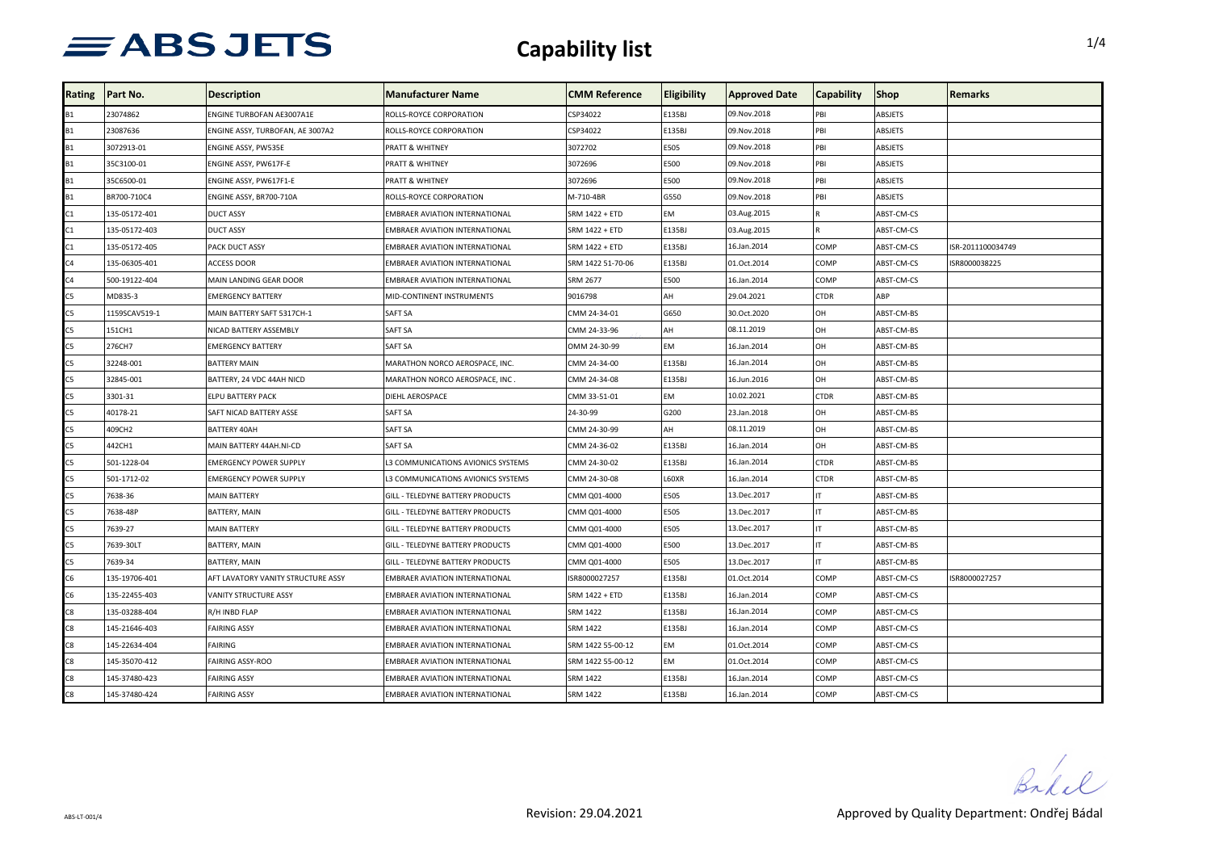### **Capability list** 1/4

| Rating         | Part No.      | <b>Description</b>                 | <b>Manufacturer Name</b>              | <b>CMM Reference</b> | Eligibility | <b>Approved Date</b> | Capability  | <b>Shop</b>    | Remarks           |
|----------------|---------------|------------------------------------|---------------------------------------|----------------------|-------------|----------------------|-------------|----------------|-------------------|
| <b>B1</b>      | 23074862      | ENGINE TURBOFAN AE3007A1E          | ROLLS-ROYCE CORPORATION               | CSP34022             | E135BJ      | 09.Nov.2018          | PBI         | ABSJETS        |                   |
| <b>B1</b>      | 23087636      | ENGINE ASSY, TURBOFAN, AE 3007A2   |                                       | CSP34022             | E135BJ      | 09.Nov.2018          | PBI         | <b>ABSJETS</b> |                   |
|                |               |                                    | ROLLS-ROYCE CORPORATION               |                      |             | 09.Nov.2018          |             |                |                   |
| <b>B1</b>      | 3072913-01    | ENGINE ASSY, PW535E                | PRATT & WHITNEY                       | 3072702              | E505        |                      | PBI         | ABSJETS        |                   |
| <b>B1</b>      | 35C3100-01    | ENGINE ASSY, PW617F-E              | PRATT & WHITNEY                       | 3072696              | E500        | 09.Nov.2018          | PBI         | ABSJETS        |                   |
| <b>B1</b>      | 35C6500-01    | ENGINE ASSY, PW617F1-E             | PRATT & WHITNEY                       | 3072696              | E500        | 09.Nov.2018          | PBI         | ABSJETS        |                   |
| <b>B1</b>      | BR700-710C4   | ENGINE ASSY, BR700-710A            | ROLLS-ROYCE CORPORATION               | M-710-4BR            | G550        | 09.Nov.2018          | PBI         | <b>ABSJETS</b> |                   |
| C1             | 135-05172-401 | <b>DUCT ASSY</b>                   | <b>EMBRAER AVIATION INTERNATIONAL</b> | SRM 1422 + ETD       | <b>EM</b>   | 03.Aug.2015          |             | ABST-CM-CS     |                   |
| C1             | 135-05172-403 | <b>DUCT ASSY</b>                   | EMBRAER AVIATION INTERNATIONAL        | SRM 1422 + ETD       | E135BJ      | 03.Aug.2015          |             | ABST-CM-CS     |                   |
| C1             | 135-05172-405 | PACK DUCT ASSY                     | <b>EMBRAER AVIATION INTERNATIONAL</b> | SRM 1422 + ETD       | E135BJ      | 16.Jan.2014          | COMP        | ABST-CM-CS     | ISR-2011100034749 |
| C4             | 135-06305-401 | <b>ACCESS DOOR</b>                 | EMBRAER AVIATION INTERNATIONAL        | SRM 1422 51-70-06    | E135BJ      | 01.Oct.2014          | COMP        | ABST-CM-CS     | ISR8000038225     |
| C4             | 500-19122-404 | MAIN LANDING GEAR DOOR             | EMBRAER AVIATION INTERNATIONAL        | <b>SRM 2677</b>      | E500        | 16.Jan.2014          | COMP        | ABST-CM-CS     |                   |
| C <sub>5</sub> | MD835-3       | <b>EMERGENCY BATTERY</b>           | MID-CONTINENT INSTRUMENTS             | 9016798              | AH          | 29.04.2021           | CTDR        | ABP            |                   |
| C5             | 1159SCAV519-1 | MAIN BATTERY SAFT 5317CH-1         | <b>SAFT SA</b>                        | CMM 24-34-01         | G650        | 30.Oct.2020          | OH          | ABST-CM-BS     |                   |
| C5             | 151CH1        | NICAD BATTERY ASSEMBLY             | <b>SAFT SA</b>                        | CMM 24-33-96         | AH          | 08.11.2019           | OH          | ABST-CM-BS     |                   |
| C5             | 276CH7        | <b>EMERGENCY BATTERY</b>           | SAFT SA                               | OMM 24-30-99         | <b>EM</b>   | 16.Jan.2014          | OH          | ABST-CM-BS     |                   |
| C5             | 32248-001     | <b>BATTERY MAIN</b>                | MARATHON NORCO AEROSPACE. INC.        | CMM 24-34-00         | E135BJ      | 16.Jan.2014          | OH          | ABST-CM-BS     |                   |
| C5             | 32845-001     | BATTERY, 24 VDC 44AH NICD          | MARATHON NORCO AEROSPACE. INC.        | CMM 24-34-08         | E135BJ      | 16.Jun.2016          | OH          | ABST-CM-BS     |                   |
| C5             | 3301-31       | ELPU BATTERY PACK                  | DIEHL AEROSPACE                       | CMM 33-51-01         | EM          | 10.02.2021           | <b>CTDR</b> | ABST-CM-BS     |                   |
| C5             | 40178-21      | SAFT NICAD BATTERY ASSE            | <b>SAFT SA</b>                        | 24-30-99             | G200        | 23.Jan.2018          | OH          | ABST-CM-BS     |                   |
| C5             | 409CH2        | BATTERY 40AH                       | <b>SAFT SA</b>                        | CMM 24-30-99         | AH          | 08.11.2019           | OH          | ABST-CM-BS     |                   |
| C5             | 442CH1        | MAIN BATTERY 44AH.NI-CD            | <b>SAFT SA</b>                        | CMM 24-36-02         | E135BJ      | 16.Jan.2014          | OH          | ABST-CM-BS     |                   |
| C5             | 501-1228-04   | <b>EMERGENCY POWER SUPPLY</b>      | L3 COMMUNICATIONS AVIONICS SYSTEMS    | CMM 24-30-02         | E135BJ      | 16.Jan.2014          | <b>CTDR</b> | ABST-CM-BS     |                   |
| C5             | 501-1712-02   | EMERGENCY POWER SUPPLY             | L3 COMMUNICATIONS AVIONICS SYSTEMS    | CMM 24-30-08         | L60XR       | 16.Jan.2014          | CTDR        | ABST-CM-BS     |                   |
| C <sub>5</sub> | 7638-36       | <b>MAIN BATTERY</b>                | GILL - TELEDYNE BATTERY PRODUCTS      | CMM Q01-4000         | E505        | 13.Dec.2017          | IΤ          | ABST-CM-BS     |                   |
| C <sub>5</sub> | 7638-48P      | BATTERY, MAIN                      | GILL - TELEDYNE BATTERY PRODUCTS      | CMM Q01-4000         | E505        | 13.Dec.2017          | ΙT          | ABST-CM-BS     |                   |
| C5             | 7639-27       | <b>MAIN BATTERY</b>                | GILL - TELEDYNE BATTERY PRODUCTS      | CMM Q01-4000         | E505        | 13.Dec.2017          | ΙT          | ABST-CM-BS     |                   |
| C5             | 7639-30LT     | BATTERY, MAIN                      | GILL - TELEDYNE BATTERY PRODUCTS      | CMM Q01-4000         | E500        | 13.Dec.2017          |             | ABST-CM-BS     |                   |
| C5             | 7639-34       | BATTERY, MAIN                      | GILL - TELEDYNE BATTERY PRODUCTS      | CMM Q01-4000         | E505        | 13.Dec.2017          |             | ABST-CM-BS     |                   |
| C6             | 135-19706-401 | AFT LAVATORY VANITY STRUCTURE ASSY | EMBRAER AVIATION INTERNATIONAL        | ISR8000027257        | E135BJ      | 01.Oct.2014          | COMP        | ABST-CM-CS     | ISR8000027257     |
| C6             | 135-22455-403 | <b>VANITY STRUCTURE ASSY</b>       | EMBRAER AVIATION INTERNATIONAL        | SRM 1422 + ETD       | E135BJ      | 16.Jan.2014          | COMP        | ABST-CM-CS     |                   |
| C8             | 135-03288-404 | R/H INBD FLAP                      | <b>EMBRAER AVIATION INTERNATIONAL</b> | <b>SRM 1422</b>      | E135BJ      | 16.Jan.2014          | COMP        | ABST-CM-CS     |                   |
| C <sub>8</sub> | 145-21646-403 | <b>FAIRING ASSY</b>                | <b>EMBRAER AVIATION INTERNATIONAL</b> | <b>SRM 1422</b>      | E135BJ      | 16.Jan.2014          | COMP        | ABST-CM-CS     |                   |
| C <sub>8</sub> | 145-22634-404 | <b>FAIRING</b>                     | <b>EMBRAER AVIATION INTERNATIONAL</b> | SRM 1422 55-00-12    | <b>EM</b>   | 01.Oct.2014          | COMP        | ABST-CM-CS     |                   |
| C8             | 145-35070-412 | FAIRING ASSY-ROO                   | EMBRAER AVIATION INTERNATIONAL        | SRM 1422 55-00-12    | EM          | 01.Oct.2014          | COMP        | ABST-CM-CS     |                   |
| C8             | 145-37480-423 | <b>FAIRING ASSY</b>                | <b>EMBRAER AVIATION INTERNATIONAL</b> | <b>SRM 1422</b>      | E135BJ      | 16.Jan.2014          | COMP        | ABST-CM-CS     |                   |
| C8             | 145-37480-424 | <b>FAIRING ASSY</b>                | <b>EMBRAER AVIATION INTERNATIONAL</b> | <b>SRM 1422</b>      | E135BJ      | 16.Jan.2014          | COMP        | ABST-CM-CS     |                   |

Bakel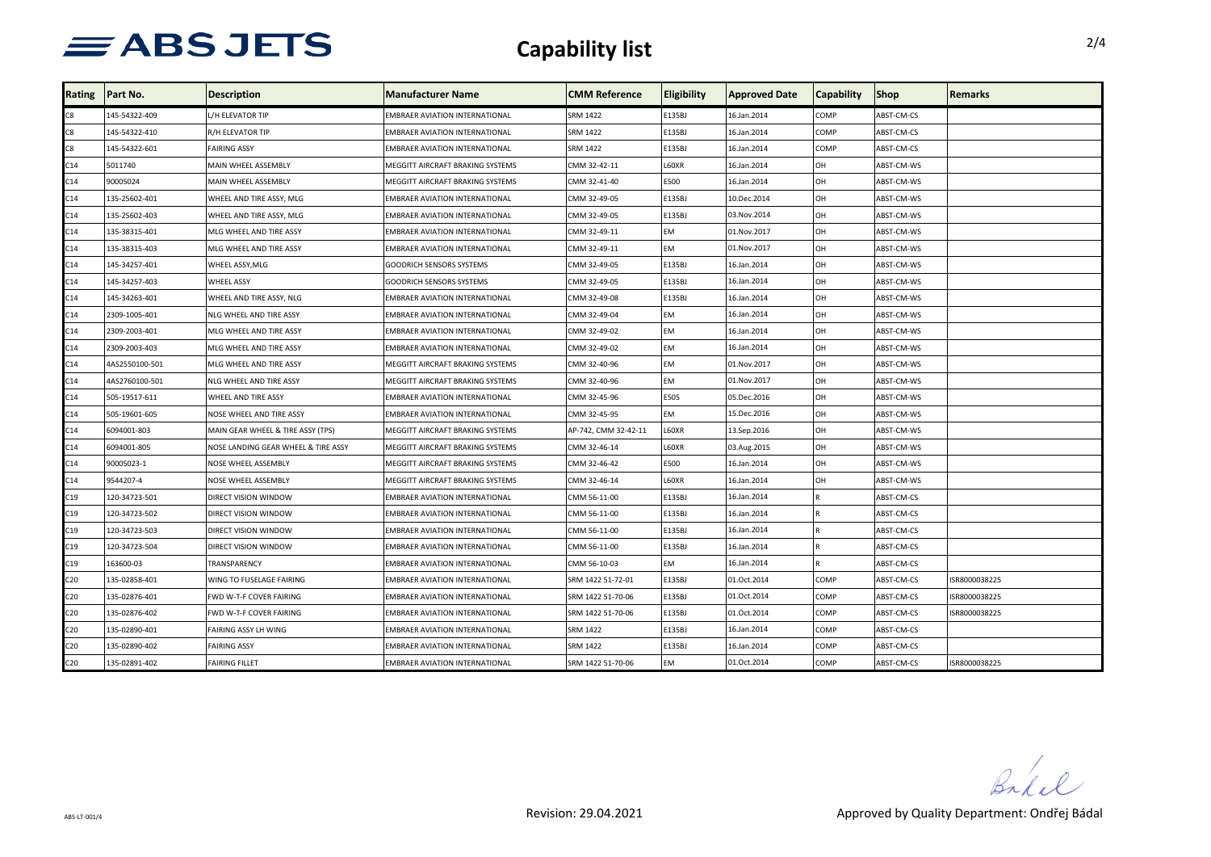### **Capability list** 2/4

| Rating | lPart No.      | <b>Description</b>                  | <b>Manufacturer Name</b>                | <b>CMM Reference</b> | <b>Eligibility</b> | <b>Approved Date</b> | <b>Capability</b> | <b>Shop</b> | <b>Remarks</b> |
|--------|----------------|-------------------------------------|-----------------------------------------|----------------------|--------------------|----------------------|-------------------|-------------|----------------|
| C8     | 145-54322-409  | /H ELEVATOR TIP                     | EMBRAER AVIATION INTERNATIONAL          | <b>SRM 1422</b>      | E135BJ             | 16.Jan.2014          | COMP              | ABST-CM-CS  |                |
| C8     | 145-54322-410  | R/H ELEVATOR TIP                    | EMBRAER AVIATION INTERNATIONAL          | <b>SRM 1422</b>      | E135BJ             | 16.Jan.2014          | COMP              | ABST-CM-CS  |                |
| C8     | 145-54322-601  | <b>FAIRING ASSY</b>                 | EMBRAER AVIATION INTERNATIONAL          | <b>SRM 1422</b>      | E135BJ             | 16.Jan.2014          | COMP              | ABST-CM-CS  |                |
| C14    | 5011740        | MAIN WHEEL ASSEMBLY                 | MEGGITT AIRCRAFT BRAKING SYSTEMS        | CMM 32-42-11         | L60XR              | 16.Jan.2014          | OH                | ABST-CM-WS  |                |
| C14    | 90005024       | MAIN WHEEL ASSEMBLY                 | MEGGITT AIRCRAFT BRAKING SYSTEMS        | CMM 32-41-40         | E500               | 16.Jan.2014          | OH                | ABST-CM-WS  |                |
| C14    | 135-25602-401  | WHEEL AND TIRE ASSY, MLG            | EMBRAER AVIATION INTERNATIONAL          | CMM 32-49-05         | E135BJ             | 10.Dec.2014          | OH                | ABST-CM-WS  |                |
| C14    | 135-25602-403  | WHEEL AND TIRE ASSY, MLG            | EMBRAER AVIATION INTERNATIONAL          | CMM 32-49-05         | E135BJ             | 03. Nov. 2014        | OH                | ABST-CM-WS  |                |
| C14    | 135-38315-401  | MLG WHEEL AND TIRE ASSY             | EMBRAER AVIATION INTERNATIONAL          | CMM 32-49-11         | EМ                 | 01.Nov.2017          | OH                | ABST-CM-WS  |                |
| C14    | 135-38315-403  | MLG WHEEL AND TIRE ASSY             | EMBRAER AVIATION INTERNATIONAL          | CMM 32-49-11         | EМ                 | 01.Nov.2017          | OH                | ABST-CM-WS  |                |
| C14    | 145-34257-401  | WHEEL ASSY, MLG                     | GOODRICH SENSORS SYSTEMS                | CMM 32-49-05         | E135BJ             | 16.Jan.2014          | OH                | ABST-CM-WS  |                |
| C14    | 145-34257-403  | WHEEL ASSY                          | GOODRICH SENSORS SYSTEMS                | CMM 32-49-05         | E135BJ             | 16.Jan.2014          | OH                | ABST-CM-WS  |                |
| C14    | 145-34263-401  | WHEEL AND TIRE ASSY, NLG            | EMBRAER AVIATION INTERNATIONAL          | CMM 32-49-08         | E135BJ             | 16.Jan.2014          | OH                | ABST-CM-WS  |                |
| C14    | 2309-1005-401  | NLG WHEEL AND TIRE ASSY             | EMBRAER AVIATION INTERNATIONAL          | CMM 32-49-04         | EM                 | 16.Jan.2014          | OH                | ABST-CM-WS  |                |
| C14    | 2309-2003-401  | MLG WHEEL AND TIRE ASSY             | EMBRAER AVIATION INTERNATIONAL          | CMM 32-49-02         | EM                 | 16.Jan.2014          | OH                | ABST-CM-WS  |                |
| C14    | 2309-2003-403  | MLG WHEEL AND TIRE ASSY             | EMBRAER AVIATION INTERNATIONAL          | CMM 32-49-02         | EM                 | 16.Jan.2014          | OH                | ABST-CM-WS  |                |
| C14    | 4AS2550100-501 | MLG WHEEL AND TIRE ASSY             | MEGGITT AIRCRAFT BRAKING SYSTEMS        | CMM 32-40-96         | EM                 | 01.Nov.2017          | OH                | ABST-CM-WS  |                |
| C14    | 4AS2760100-501 | NLG WHEEL AND TIRE ASSY             | MEGGITT AIRCRAFT BRAKING SYSTEMS        | CMM 32-40-96         | EM                 | 01.Nov.2017          | OH                | ABST-CM-WS  |                |
| C14    | 505-19517-611  | WHEEL AND TIRE ASSY                 | EMBRAER AVIATION INTERNATIONAL          | CMM 32-45-96         | E505               | 05.Dec.2016          | OH                | ABST-CM-WS  |                |
| C14    | 505-19601-605  | NOSE WHEEL AND TIRE ASSY            | EMBRAER AVIATION INTERNATIONAL          | CMM 32-45-95         | EМ                 | 15.Dec.2016          | OH                | ABST-CM-WS  |                |
| C14    | 6094001-803    | MAIN GEAR WHEEL & TIRE ASSY (TPS)   | <b>MEGGITT AIRCRAFT BRAKING SYSTEMS</b> | AP-742, CMM 32-42-11 | L60XR              | 13.Sep.2016          | OH                | ABST-CM-WS  |                |
| C14    | 6094001-805    | NOSE LANDING GEAR WHEEL & TIRE ASSY | MEGGITT AIRCRAFT BRAKING SYSTEMS        | CMM 32-46-14         | L60XR              | 03.Aug.2015          | OH                | ABST-CM-WS  |                |
| C14    | 90005023-1     | NOSE WHEEL ASSEMBLY                 | MEGGITT AIRCRAFT BRAKING SYSTEMS        | CMM 32-46-42         | E500               | 16.Jan.2014          | OH                | ABST-CM-WS  |                |
| C14    | 9544207-4      | NOSE WHEEL ASSEMBLY                 | MEGGITT AIRCRAFT BRAKING SYSTEMS        | CMM 32-46-14         | L60XR              | 16.Jan.2014          | OH                | ABST-CM-WS  |                |
| C19    | 120-34723-501  | DIRECT VISION WINDOW                | EMBRAER AVIATION INTERNATIONAL          | CMM 56-11-00         | E135BJ             | 16.Jan.2014          |                   | ABST-CM-CS  |                |
| C19    | 120-34723-502  | DIRECT VISION WINDOW                | EMBRAER AVIATION INTERNATIONAL          | CMM 56-11-00         | E135BJ             | 16.Jan.2014          |                   | ABST-CM-CS  |                |
| C19    | 120-34723-503  | DIRECT VISION WINDOW                | EMBRAER AVIATION INTERNATIONAL          | CMM 56-11-00         | E135BJ             | 16.Jan.2014          |                   | ABST-CM-CS  |                |
| C19    | 120-34723-504  | DIRECT VISION WINDOW                | EMBRAER AVIATION INTERNATIONAL          | CMM 56-11-00         | E135BJ             | 16.Jan.2014          |                   | ABST-CM-CS  |                |
| C19    | 163600-03      | TRANSPARENCY                        | EMBRAER AVIATION INTERNATIONAL          | CMM 56-10-03         | EM                 | 16.Jan.2014          |                   | ABST-CM-CS  |                |
| C20    | 135-02858-401  | WING TO FUSELAGE FAIRING            | EMBRAER AVIATION INTERNATIONAL          | SRM 1422 51-72-01    | E135BJ             | 01.Oct.2014          | COMP              | ABST-CM-CS  | ISR8000038225  |
| C20    | 135-02876-401  | FWD W-T-F COVER FAIRING             | EMBRAER AVIATION INTERNATIONAL          | SRM 1422 51-70-06    | E135BJ             | 01.Oct.2014          | COMP              | ABST-CM-CS  | SR8000038225   |
| C20    | 135-02876-402  | FWD W-T-F COVER FAIRING             | EMBRAER AVIATION INTERNATIONAL          | SRM 1422 51-70-06    | E135BJ             | 01.Oct.2014          | COMP              | ABST-CM-CS  | ISR8000038225  |
| C20    | 135-02890-401  | FAIRING ASSY LH WING                | EMBRAER AVIATION INTERNATIONAL          | SRM 1422             | E135BJ             | 16.Jan.2014          | COMP              | ABST-CM-CS  |                |
| C20    | 135-02890-402  | <b>FAIRING ASSY</b>                 | EMBRAER AVIATION INTERNATIONAL          | SRM 1422             | E135BJ             | 16.Jan.2014          | COMP              | ABST-CM-CS  |                |
| C20    | 135-02891-402  | <b>FAIRING FILLET</b>               | EMBRAER AVIATION INTERNATIONAL          | SRM 1422 51-70-06    | EM                 | 01.Oct.2014          | COMP              | ABST-CM-CS  | ISR8000038225  |

Bakel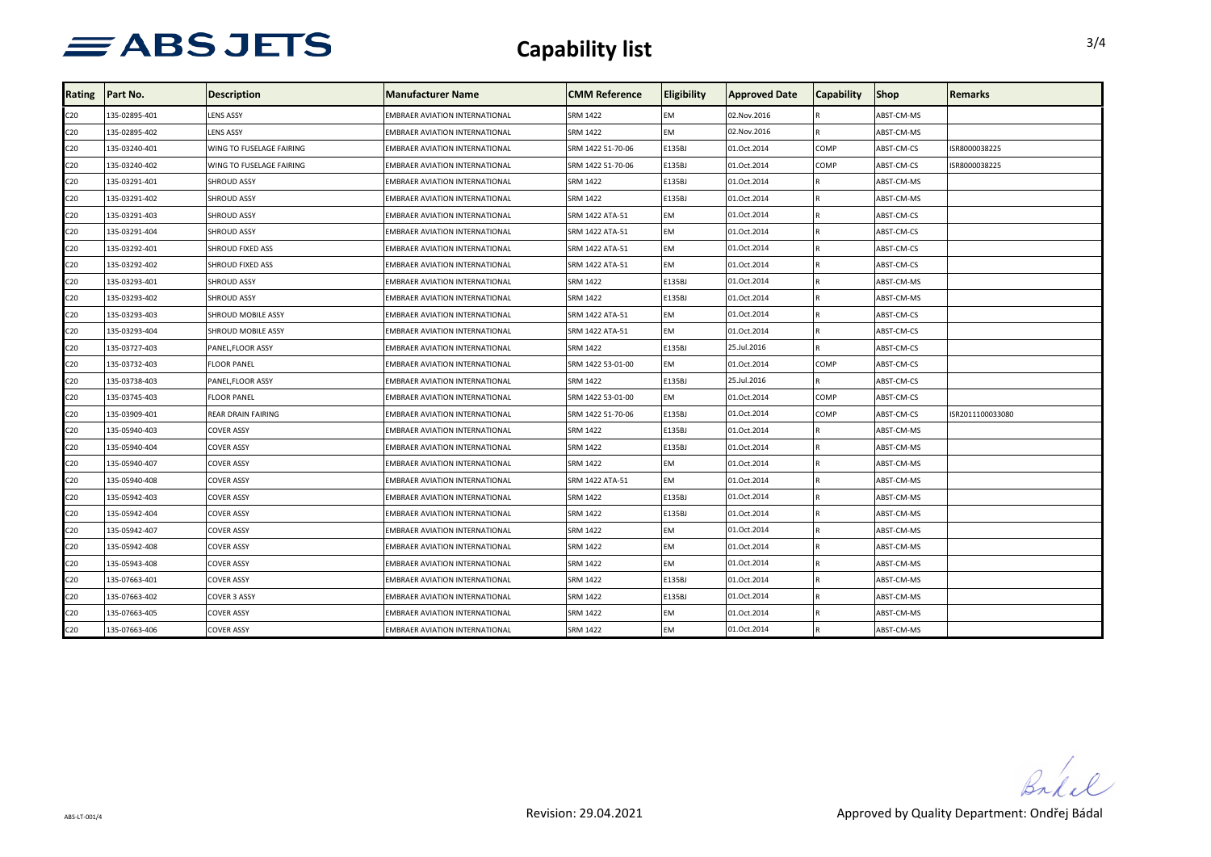### **Capability list** 3/4

| Rating          | Part No.      | <b>Description</b>       | <b>Manufacturer Name</b>              | <b>CMM Reference</b> | Eligibility | <b>Approved Date</b> | Capability | <b>Shop</b> | Remarks          |
|-----------------|---------------|--------------------------|---------------------------------------|----------------------|-------------|----------------------|------------|-------------|------------------|
| C20             | 135-02895-401 | <b>LENS ASSY</b>         | EMBRAER AVIATION INTERNATIONAL        | <b>SRM 1422</b>      | EM          | 02.Nov.2016          |            | ABST-CM-MS  |                  |
| C20             | 135-02895-402 | <b>LENS ASSY</b>         | EMBRAER AVIATION INTERNATIONAL        | <b>SRM 1422</b>      | <b>EM</b>   | 02.Nov.2016          |            | ABST-CM-MS  |                  |
| C <sub>20</sub> | 135-03240-401 | WING TO FUSELAGE FAIRING | EMBRAER AVIATION INTERNATIONAL        | SRM 1422 51-70-06    | E135BJ      | 01.Oct.2014          | COMP       | ABST-CM-CS  | ISR8000038225    |
| C20             | 135-03240-402 | WING TO FUSELAGE FAIRING | <b>EMBRAER AVIATION INTERNATIONAL</b> | SRM 1422 51-70-06    | E135BJ      | 01.Oct.2014          | COMP       | ABST-CM-CS  | ISR8000038225    |
| C20             | 135-03291-401 | <b>SHROUD ASSY</b>       | EMBRAER AVIATION INTERNATIONAL        | <b>SRM 1422</b>      | E135BJ      | 01.Oct.2014          |            | ABST-CM-MS  |                  |
| C20             | 135-03291-402 | SHROUD ASSY              | EMBRAER AVIATION INTERNATIONAL        | <b>SRM 1422</b>      | E135BJ      | 01.Oct.2014          |            | ABST-CM-MS  |                  |
| C20             | 135-03291-403 | <b>SHROUD ASSY</b>       | EMBRAER AVIATION INTERNATIONAL        | SRM 1422 ATA-51      | EM          | 01.Oct.2014          |            | ABST-CM-CS  |                  |
| C20             | 135-03291-404 | <b>SHROUD ASSY</b>       | EMBRAER AVIATION INTERNATIONAL        | SRM 1422 ATA-51      | EM          | 01.Oct.2014          |            | ABST-CM-CS  |                  |
| C20             | 135-03292-401 | SHROUD FIXED ASS         | <b>EMBRAER AVIATION INTERNATIONAL</b> | SRM 1422 ATA-51      | <b>EM</b>   | 01.Oct.2014          |            | ABST-CM-CS  |                  |
| C20             | 135-03292-402 | SHROUD FIXED ASS         | EMBRAER AVIATION INTERNATIONAL        | SRM 1422 ATA-51      | EM          | 01.Oct.2014          |            | ABST-CM-CS  |                  |
| C20             | 135-03293-401 | <b>SHROUD ASSY</b>       | EMBRAER AVIATION INTERNATIONAL        | <b>SRM 1422</b>      | E135BJ      | 01.Oct.2014          |            | ABST-CM-MS  |                  |
| C20             | 135-03293-402 | <b>SHROUD ASSY</b>       | EMBRAER AVIATION INTERNATIONAL        | <b>SRM 1422</b>      | E135BJ      | 01.Oct.2014          |            | ABST-CM-MS  |                  |
| C20             | 135-03293-403 | SHROUD MOBILE ASSY       | EMBRAER AVIATION INTERNATIONAL        | SRM 1422 ATA-51      | EM          | 01.Oct.2014          |            | ABST-CM-CS  |                  |
| C20             | 135-03293-404 | SHROUD MOBILE ASSY       | EMBRAER AVIATION INTERNATIONAL        | SRM 1422 ATA-51      | EM          | 01.Oct.2014          |            | ABST-CM-CS  |                  |
| C20             | 135-03727-403 | PANEL,FLOOR ASSY         | EMBRAER AVIATION INTERNATIONAL        | <b>SRM 1422</b>      | E135BJ      | 25.Jul.2016          |            | ABST-CM-CS  |                  |
| C20             | 135-03732-403 | <b>FLOOR PANEL</b>       | EMBRAER AVIATION INTERNATIONAL        | SRM 1422 53-01-00    | EM          | 01.Oct.2014          | COMP       | ABST-CM-CS  |                  |
| C20             | 135-03738-403 | PANEL, FLOOR ASSY        | EMBRAER AVIATION INTERNATIONAL        | <b>SRM 1422</b>      | E135BJ      | 25.Jul.2016          |            | ABST-CM-CS  |                  |
| C <sub>20</sub> | 135-03745-403 | <b>FLOOR PANEL</b>       | EMBRAER AVIATION INTERNATIONAL        | SRM 1422 53-01-00    | EM          | 01.Oct.2014          | COMP       | ABST-CM-CS  |                  |
| C20             | 135-03909-401 | REAR DRAIN FAIRING       | <b>EMBRAER AVIATION INTERNATIONAL</b> | SRM 1422 51-70-06    | E135BJ      | 01.Oct.2014          | COMP       | ABST-CM-CS  | ISR2011100033080 |
| C20             | 135-05940-403 | <b>COVER ASSY</b>        | <b>EMBRAER AVIATION INTERNATIONAL</b> | <b>SRM 1422</b>      | E135BJ      | 01.Oct.2014          |            | ABST-CM-MS  |                  |
| C20             | 135-05940-404 | <b>COVER ASSY</b>        | EMBRAER AVIATION INTERNATIONAL        | <b>SRM 1422</b>      | E135BJ      | 01.Oct.2014          |            | ABST-CM-MS  |                  |
| C20             | 135-05940-407 | <b>COVER ASSY</b>        | EMBRAER AVIATION INTERNATIONAL        | <b>SRM 1422</b>      | EM          | 01.Oct.2014          |            | ABST-CM-MS  |                  |
| C20             | 135-05940-408 | <b>COVER ASSY</b>        | <b>EMBRAER AVIATION INTERNATIONAL</b> | SRM 1422 ATA-51      | EM          | 01.Oct.2014          |            | ABST-CM-MS  |                  |
| C20             | 135-05942-403 | <b>COVER ASSY</b>        | <b>EMBRAER AVIATION INTERNATIONAL</b> | <b>SRM 1422</b>      | E135BJ      | 01.Oct.2014          |            | ABST-CM-MS  |                  |
| C20             | 135-05942-404 | <b>COVER ASSY</b>        | EMBRAER AVIATION INTERNATIONAL        | <b>SRM 1422</b>      | E135BJ      | 01.Oct.2014          |            | ABST-CM-MS  |                  |
| C20             | 135-05942-407 | <b>COVER ASSY</b>        | EMBRAER AVIATION INTERNATIONAL        | <b>SRM 1422</b>      | EM          | 01.Oct.2014          |            | ABST-CM-MS  |                  |
| C20             | 135-05942-408 | <b>COVER ASSY</b>        | EMBRAER AVIATION INTERNATIONAL        | <b>SRM 1422</b>      | EM          | 01.Oct.2014          |            | ABST-CM-MS  |                  |
| C <sub>20</sub> | 135-05943-408 | <b>COVER ASSY</b>        | <b>EMBRAER AVIATION INTERNATIONAL</b> | <b>SRM 1422</b>      | EM          | 01.Oct.2014          |            | ABST-CM-MS  |                  |
| C20             | 135-07663-401 | <b>COVER ASSY</b>        | EMBRAER AVIATION INTERNATIONAL        | <b>SRM 1422</b>      | E135BJ      | 01.Oct.2014          |            | ABST-CM-MS  |                  |
| C20             | 135-07663-402 | COVER 3 ASSY             | <b>EMBRAER AVIATION INTERNATIONAL</b> | <b>SRM 1422</b>      | E135BJ      | 01.Oct.2014          |            | ABST-CM-MS  |                  |
| C20             | 135-07663-405 | <b>COVER ASSY</b>        | <b>EMBRAER AVIATION INTERNATIONAL</b> | <b>SRM 1422</b>      | EM          | 01.Oct.2014          |            | ABST-CM-MS  |                  |
| C20             | 135-07663-406 | <b>COVER ASSY</b>        | EMBRAER AVIATION INTERNATIONAL        | <b>SRM 1422</b>      | <b>FM</b>   | 01.Oct.2014          |            | ABST-CM-MS  |                  |

eil Br